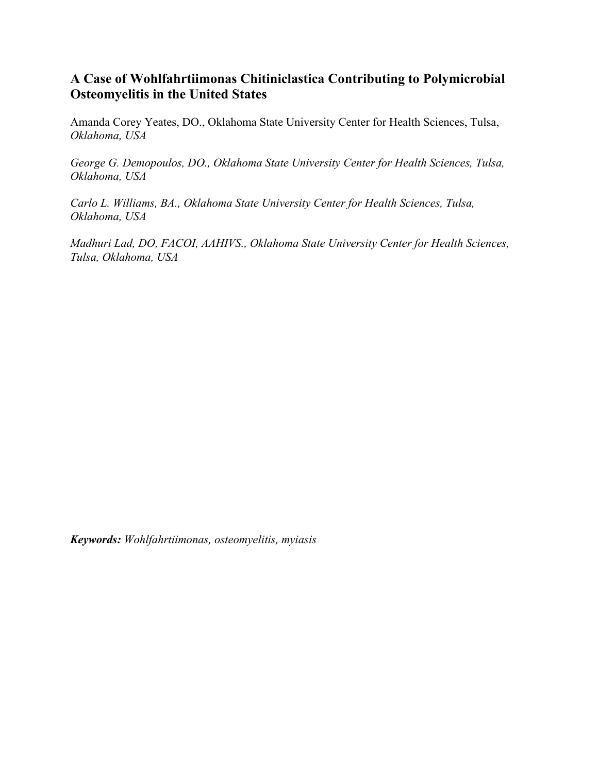# **A Case of Wohlfahrtiimonas Chitiniclastica Contributing to Polymicrobial Osteomyelitis in the United States**

Amanda Corey Yeates, DO., Oklahoma State University Center for Health Sciences, Tulsa, *Oklahoma, USA*

*George G. Demopoulos, DO., Oklahoma State University Center for Health Sciences, Tulsa, Oklahoma, USA*

*Carlo L. Williams, BA., Oklahoma State University Center for Health Sciences, Tulsa, Oklahoma, USA*

*Madhuri Lad, DO, FACOI, AAHIVS., Oklahoma State University Center for Health Sciences, Tulsa, Oklahoma, USA*

*Keywords: Wohlfahrtiimonas, osteomyelitis, myiasis*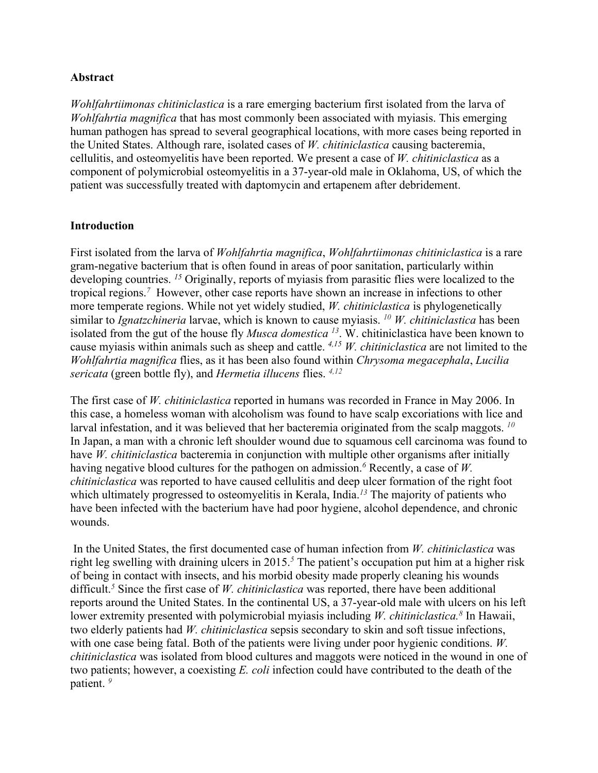## **Abstract**

*Wohlfahrtiimonas chitiniclastica* is a rare emerging bacterium first isolated from the larva of *Wohlfahrtia magnifica* that has most commonly been associated with myiasis. This emerging human pathogen has spread to several geographical locations, with more cases being reported in the United States. Although rare, isolated cases of *W. chitiniclastica* causing bacteremia, cellulitis, and osteomyelitis have been reported. We present a case of *W. chitiniclastica* as a component of polymicrobial osteomyelitis in a 37-year-old male in Oklahoma, US, of which the patient was successfully treated with daptomycin and ertapenem after debridement.

## **Introduction**

First isolated from the larva of *Wohlfahrtia magnifica*, *Wohlfahrtiimonas chitiniclastica* is a rare gram-negative bacterium that is often found in areas of poor sanitation, particularly within developing countries. <sup>15</sup> Originally, reports of myiasis from parasitic flies were localized to the tropical regions. *<sup>7</sup>* However, other case reports have shown an increase in infections to other more temperate regions. While not yet widely studied, *W. chitiniclastica* is phylogenetically similar to *Ignatzchineria* larvae, which is known to cause myiasis. *<sup>10</sup> W. chitiniclastica* has been isolated from the gut of the house fly *Musca domestica <sup>13</sup>*. W. chitiniclastica have been known to cause myiasis within animals such as sheep and cattle. *4,15 W. chitiniclastica* are not limited to the *Wohlfahrtia magnifica* flies, as it has been also found within *Chrysoma megacephala*, *Lucilia sericata* (green bottle fly), and *Hermetia illucens* flies. *4,12*

The first case of *W. chitiniclastica* reported in humans was recorded in France in May 2006. In this case, a homeless woman with alcoholism was found to have scalp excoriations with lice and larval infestation, and it was believed that her bacteremia originated from the scalp maggots. *<sup>10</sup>* In Japan, a man with a chronic left shoulder wound due to squamous cell carcinoma was found to have *W. chitiniclastica* bacteremia in conjunction with multiple other organisms after initially having negative blood cultures for the pathogen on admission. *<sup>6</sup>* Recently, a case of *W. chitiniclastica* was reported to have caused cellulitis and deep ulcer formation of the right foot which ultimately progressed to osteomyelitis in Kerala, India. *<sup>13</sup>* The majority of patients who have been infected with the bacterium have had poor hygiene, alcohol dependence, and chronic wounds.

In the United States, the first documented case of human infection from *W. chitiniclastica* was right leg swelling with draining ulcers in 2015. *<sup>5</sup>* The patient's occupation put him at a higher risk of being in contact with insects, and his morbid obesity made properly cleaning his wounds difficult. *<sup>5</sup>* Since the first case of *W. chitiniclastica* was reported, there have been additional reports around the United States. In the continental US, a 37-year-old male with ulcers on his left lower extremity presented with polymicrobial myiasis including *W. chitiniclastica*.<sup>8</sup> In Hawaii, two elderly patients had *W. chitiniclastica* sepsis secondary to skin and soft tissue infections, with one case being fatal. Both of the patients were living under poor hygienic conditions. *W. chitiniclastica* was isolated from blood cultures and maggots were noticed in the wound in one of two patients; however, a coexisting *E. coli* infection could have contributed to the death of the patient. *<sup>9</sup>*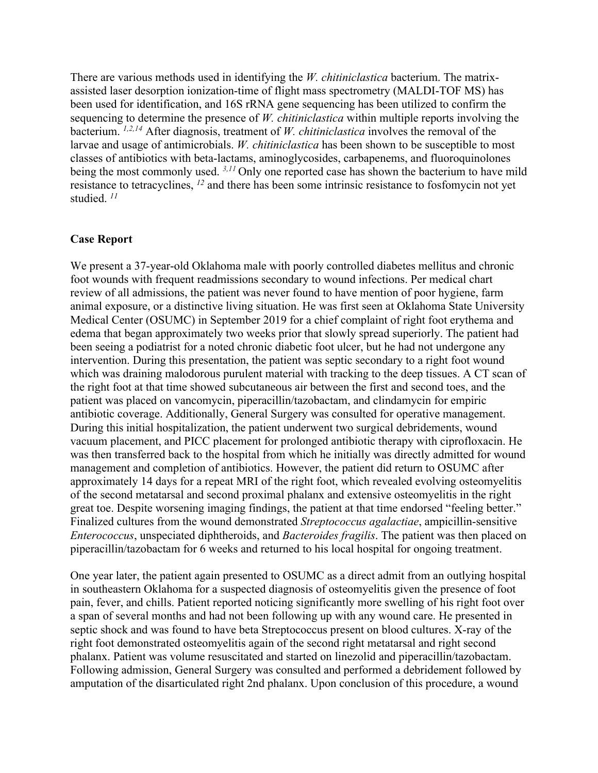There are various methods used in identifying the *W. chitiniclastica* bacterium. The matrixassisted laser desorption ionization-time of flight mass spectrometry (MALDI-TOF MS) has been used for identification, and 16S rRNA gene sequencing has been utilized to confirm the sequencing to determine the presence of *W. chitiniclastica* within multiple reports involving the bacterium. *1,2,14* After diagnosis, treatment of *W. chitiniclastica* involves the removal of the larvae and usage of antimicrobials. *W. chitiniclastica* has been shown to be susceptible to most classes of antibiotics with beta-lactams, aminoglycosides, carbapenems, and fluoroquinolones being the most commonly used. *3,11* Only one reported case has shown the bacterium to have mild resistance to tetracyclines, *<sup>12</sup>* and there has been some intrinsic resistance to fosfomycin not yet studied. *<sup>11</sup>*

#### **Case Report**

We present a 37-year-old Oklahoma male with poorly controlled diabetes mellitus and chronic foot wounds with frequent readmissions secondary to wound infections. Per medical chart review of all admissions, the patient was never found to have mention of poor hygiene, farm animal exposure, or a distinctive living situation. He was first seen at Oklahoma State University Medical Center (OSUMC) in September 2019 for a chief complaint of right foot erythema and edema that began approximately two weeks prior that slowly spread superiorly. The patient had been seeing a podiatrist for a noted chronic diabetic foot ulcer, but he had not undergone any intervention. During this presentation, the patient was septic secondary to a right foot wound which was draining malodorous purulent material with tracking to the deep tissues. A CT scan of the right foot at that time showed subcutaneous air between the first and second toes, and the patient was placed on vancomycin, piperacillin/tazobactam, and clindamycin for empiric antibiotic coverage. Additionally, General Surgery was consulted for operative management. During this initial hospitalization, the patient underwent two surgical debridements, wound vacuum placement, and PICC placement for prolonged antibiotic therapy with ciprofloxacin. He was then transferred back to the hospital from which he initially was directly admitted for wound management and completion of antibiotics. However, the patient did return to OSUMC after approximately 14 days for a repeat MRI of the right foot, which revealed evolving osteomyelitis of the second metatarsal and second proximal phalanx and extensive osteomyelitis in the right great toe. Despite worsening imaging findings, the patient at that time endorsed "feeling better." Finalized cultures from the wound demonstrated *Streptococcus agalactiae*, ampicillin-sensitive *Enterococcus*, unspeciated diphtheroids, and *Bacteroides fragilis*. The patient was then placed on piperacillin/tazobactam for 6 weeks and returned to his local hospital for ongoing treatment.

One year later, the patient again presented to OSUMC as a direct admit from an outlying hospital in southeastern Oklahoma for a suspected diagnosis of osteomyelitis given the presence of foot pain, fever, and chills. Patient reported noticing significantly more swelling of his right foot over a span of several months and had not been following up with any wound care. He presented in septic shock and was found to have beta Streptococcus present on blood cultures. X-ray of the right foot demonstrated osteomyelitis again of the second right metatarsal and right second phalanx. Patient was volume resuscitated and started on linezolid and piperacillin/tazobactam. Following admission, General Surgery was consulted and performed a debridement followed by amputation of the disarticulated right 2nd phalanx. Upon conclusion of this procedure, a wound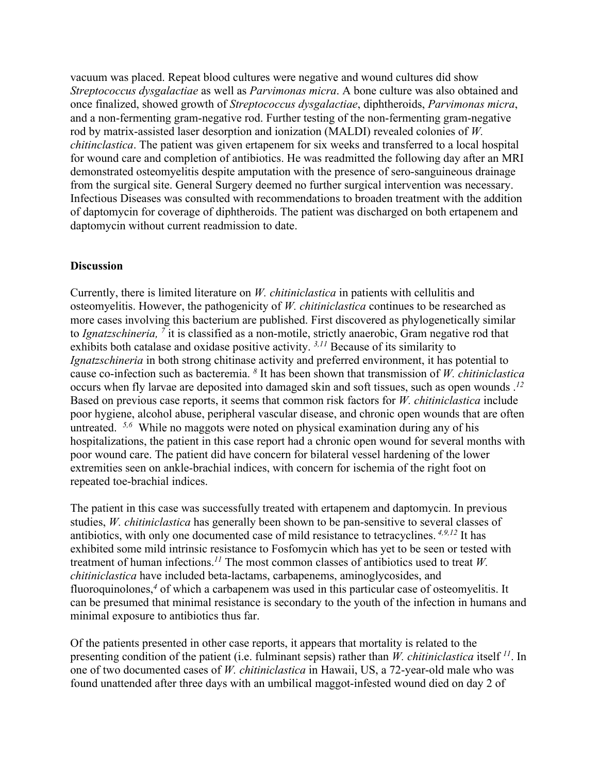vacuum was placed. Repeat blood cultures were negative and wound cultures did show *Streptococcus dysgalactiae* as well as *Parvimonas micra*. A bone culture was also obtained and once finalized, showed growth of *Streptococcus dysgalactiae*, diphtheroids, *Parvimonas micra*, and a non-fermenting gram-negative rod. Further testing of the non-fermenting gram-negative rod by matrix-assisted laser desorption and ionization (MALDI) revealed colonies of *W. chitinclastica*. The patient was given ertapenem for six weeks and transferred to a local hospital for wound care and completion of antibiotics. He was readmitted the following day after an MRI demonstrated osteomyelitis despite amputation with the presence of sero-sanguineous drainage from the surgical site. General Surgery deemed no further surgical intervention was necessary. Infectious Diseases was consulted with recommendations to broaden treatment with the addition of daptomycin for coverage of diphtheroids. The patient was discharged on both ertapenem and daptomycin without current readmission to date.

### **Discussion**

Currently, there is limited literature on *W. chitiniclastica* in patients with cellulitis and osteomyelitis. However, the pathogenicity of *W. chitiniclastica* continues to be researched as more cases involving this bacterium are published. First discovered as phylogenetically similar to *Ignatzschineria, <sup>7</sup>* it is classified as a non-motile, strictly anaerobic, Gram negative rod that exhibits both catalase and oxidase positive activity. *3,11* Because of its similarity to *Ignatzschineria* in both strong chitinase activity and preferred environment, it has potential to cause co-infection such as bacteremia. *<sup>8</sup>* It has been shown that transmission of *W. chitiniclastica* occurs when fly larvae are deposited into damaged skin and soft tissues, such as open wounds . *12* Based on previous case reports, it seems that common risk factors for *W. chitiniclastica* include poor hygiene, alcohol abuse, peripheral vascular disease, and chronic open wounds that are often untreated. <sup>5,6</sup> While no maggots were noted on physical examination during any of his hospitalizations, the patient in this case report had a chronic open wound for several months with poor wound care. The patient did have concern for bilateral vessel hardening of the lower extremities seen on ankle-brachial indices, with concern for ischemia of the right foot on repeated toe-brachial indices.

The patient in this case was successfully treated with ertapenem and daptomycin. In previous studies, *W. chitiniclastica* has generally been shown to be pan-sensitive to several classes of antibiotics, with only one documented case of mild resistance to tetracyclines. *4,9,12* It has exhibited some mild intrinsic resistance to Fosfomycin which has yet to be seen or tested with treatment of human infections. *<sup>11</sup>* The most common classes of antibiotics used to treat *W. chitiniclastica* have included beta-lactams, carbapenems, aminoglycosides, and fluoroquinolones, *<sup>4</sup>* of which a carbapenem was used in this particular case of osteomyelitis. It can be presumed that minimal resistance is secondary to the youth of the infection in humans and minimal exposure to antibiotics thus far.

Of the patients presented in other case reports, it appears that mortality is related to the presenting condition of the patient (i.e. fulminant sepsis) rather than *W. chitiniclastica* itself *<sup>11</sup>*. In one of two documented cases of *W. chitiniclastica* in Hawaii, US, a 72-year-old male who was found unattended after three days with an umbilical maggot-infested wound died on day 2 of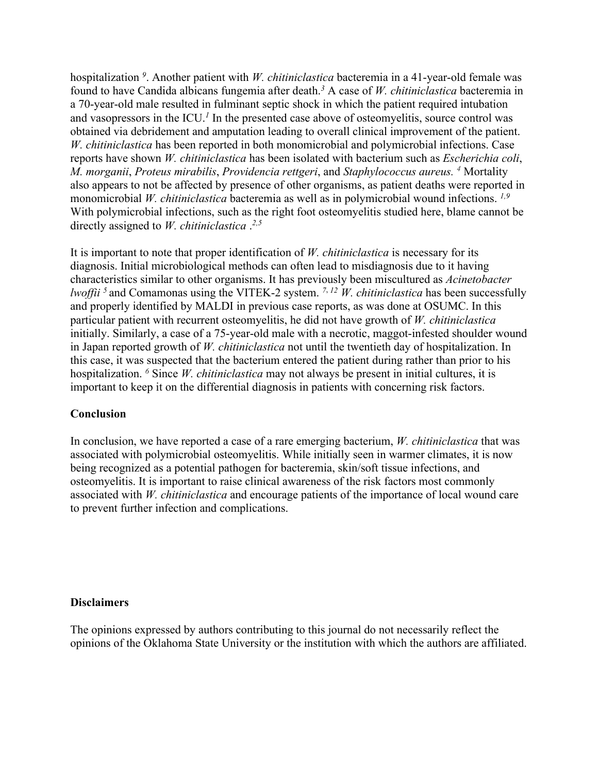hospitalization *<sup>9</sup>* . Another patient with *W. chitiniclastica* bacteremia in a 41-year-old female was found to have Candida albicans fungemia after death. *<sup>3</sup>* A case of *W. chitiniclastica* bacteremia in a 70-year-old male resulted in fulminant septic shock in which the patient required intubation and vasopressors in the ICU. *<sup>1</sup>* In the presented case above of osteomyelitis, source control was obtained via debridement and amputation leading to overall clinical improvement of the patient. *W. chitiniclastica* has been reported in both monomicrobial and polymicrobial infections. Case reports have shown *W. chitiniclastica* has been isolated with bacterium such as *Escherichia coli*, *M. morganii*, *Proteus mirabilis*, *Providencia rettgeri*, and *Staphylococcus aureus. <sup>4</sup>* Mortality also appears to not be affected by presence of other organisms, as patient deaths were reported in monomicrobial *W. chitiniclastica* bacteremia as well as in polymicrobial wound infections. *1,9* With polymicrobial infections, such as the right foot osteomyelitis studied here, blame cannot be directly assigned to *W. chitiniclastica* . *2,5*

It is important to note that proper identification of *W. chitiniclastica* is necessary for its diagnosis. Initial microbiological methods can often lead to misdiagnosis due to it having characteristics similar to other organisms. It has previously been miscultured as *Acinetobacter lwoffii 5* and Comamonas using the VITEK-2 system. *<sup>7</sup>*, *<sup>12</sup> W. chitiniclastica* has been successfully and properly identified by MALDI in previous case reports, as was done at OSUMC. In this particular patient with recurrent osteomyelitis, he did not have growth of *W. chitiniclastica* initially. Similarly, a case of a 75-year-old male with a necrotic, maggot-infested shoulder wound in Japan reported growth of *W. chitiniclastica* not until the twentieth day of hospitalization. In this case, it was suspected that the bacterium entered the patient during rather than prior to his hospitalization. *<sup>6</sup>* Since *W. chitiniclastica* may not always be present in initial cultures, it is important to keep it on the differential diagnosis in patients with concerning risk factors.

### **Conclusion**

In conclusion, we have reported a case of a rare emerging bacterium, *W. chitiniclastica* that was associated with polymicrobial osteomyelitis. While initially seen in warmer climates, it is now being recognized as a potential pathogen for bacteremia, skin/soft tissue infections, and osteomyelitis. It is important to raise clinical awareness of the risk factors most commonly associated with *W. chitiniclastica* and encourage patients of the importance of local wound care to prevent further infection and complications.

### **Disclaimers**

The opinions expressed by authors contributing to this journal do not necessarily reflect the opinions of the Oklahoma State University or the institution with which the authors are affiliated.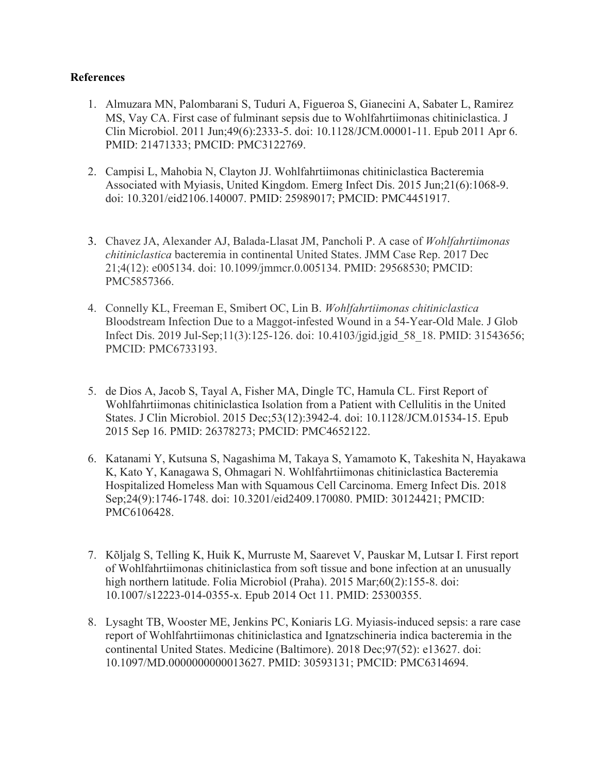## **References**

- 1. Almuzara MN, Palombarani S, Tuduri A, Figueroa S, Gianecini A, Sabater L, Ramirez MS, Vay CA. First case of fulminant sepsis due to Wohlfahrtiimonas chitiniclastica. J Clin Microbiol. 2011 Jun;49(6):2333-5. doi: 10.1128/JCM.00001-11. Epub 2011 Apr 6. PMID: 21471333; PMCID: PMC3122769.
- 2. Campisi L, Mahobia N, Clayton JJ. Wohlfahrtiimonas chitiniclastica Bacteremia Associated with Myiasis, United Kingdom. Emerg Infect Dis. 2015 Jun;21(6):1068-9. doi: 10.3201/eid2106.140007. PMID: 25989017; PMCID: PMC4451917.
- 3. Chavez JA, Alexander AJ, Balada-Llasat JM, Pancholi P. A case of *Wohlfahrtiimonas chitiniclastica* bacteremia in continental United States. JMM Case Rep. 2017 Dec 21;4(12): e005134. doi: 10.1099/jmmcr.0.005134. PMID: 29568530; PMCID: PMC5857366.
- 4. Connelly KL, Freeman E, Smibert OC, Lin B. *Wohlfahrtiimonas chitiniclastica* Bloodstream Infection Due to a Maggot-infested Wound in a 54-Year-Old Male. J Glob Infect Dis. 2019 Jul-Sep;11(3):125-126. doi: 10.4103/jgid.jgid\_58\_18. PMID: 31543656; PMCID: PMC6733193.
- 5. de Dios A, Jacob S, Tayal A, Fisher MA, Dingle TC, Hamula CL. First Report of Wohlfahrtiimonas chitiniclastica Isolation from a Patient with Cellulitis in the United States. J Clin Microbiol. 2015 Dec;53(12):3942-4. doi: 10.1128/JCM.01534-15. Epub 2015 Sep 16. PMID: 26378273; PMCID: PMC4652122.
- 6. Katanami Y, Kutsuna S, Nagashima M, Takaya S, Yamamoto K, Takeshita N, Hayakawa K, Kato Y, Kanagawa S, Ohmagari N. Wohlfahrtiimonas chitiniclastica Bacteremia Hospitalized Homeless Man with Squamous Cell Carcinoma. Emerg Infect Dis. 2018 Sep;24(9):1746-1748. doi: 10.3201/eid2409.170080. PMID: 30124421; PMCID: PMC6106428.
- 7. Kõljalg S, Telling K, Huik K, Murruste M, Saarevet V, Pauskar M, Lutsar I. First report of Wohlfahrtiimonas chitiniclastica from soft tissue and bone infection at an unusually high northern latitude. Folia Microbiol (Praha). 2015 Mar;60(2):155-8. doi: 10.1007/s12223-014-0355-x. Epub 2014 Oct 11. PMID: 25300355.
- 8. Lysaght TB, Wooster ME, Jenkins PC, Koniaris LG. Myiasis-induced sepsis: a rare case report of Wohlfahrtiimonas chitiniclastica and Ignatzschineria indica bacteremia in the continental United States. Medicine (Baltimore). 2018 Dec;97(52): e13627. doi: 10.1097/MD.0000000000013627. PMID: 30593131; PMCID: PMC6314694.